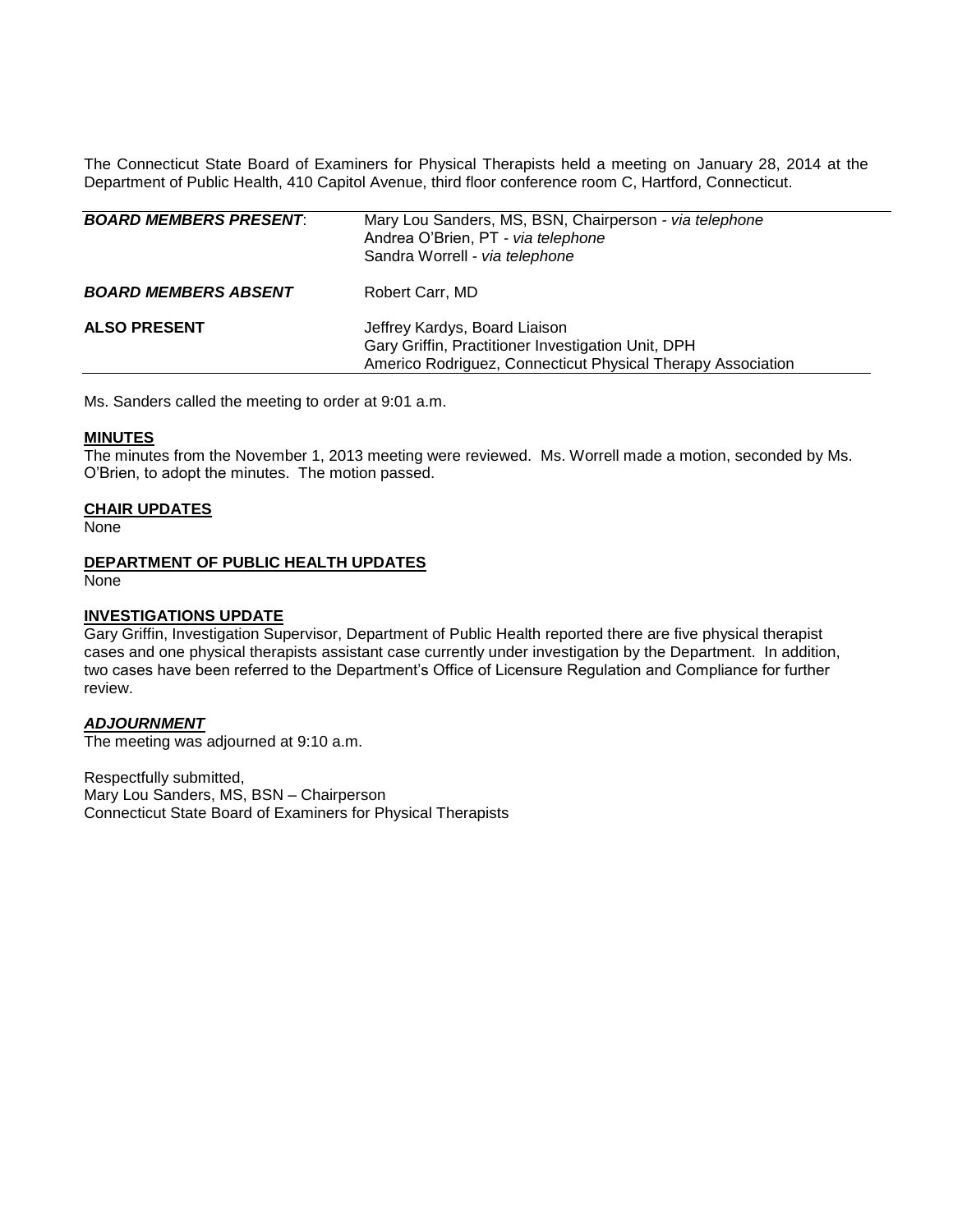The Connecticut State Board of Examiners for Physical Therapists held a meeting on January 28, 2014 at the Department of Public Health, 410 Capitol Avenue, third floor conference room C, Hartford, Connecticut.

| <b>BOARD MEMBERS PRESENT:</b> | Mary Lou Sanders, MS, BSN, Chairperson - via telephone<br>Andrea O'Brien, PT - via telephone<br>Sandra Worrell - via telephone                     |
|-------------------------------|----------------------------------------------------------------------------------------------------------------------------------------------------|
| <b>BOARD MEMBERS ABSENT</b>   | Robert Carr, MD                                                                                                                                    |
| <b>ALSO PRESENT</b>           | Jeffrey Kardys, Board Liaison<br>Gary Griffin, Practitioner Investigation Unit, DPH<br>Americo Rodriguez, Connecticut Physical Therapy Association |

Ms. Sanders called the meeting to order at 9:01 a.m.

#### **MINUTES**

The minutes from the November 1, 2013 meeting were reviewed. Ms. Worrell made a motion, seconded by Ms. O'Brien, to adopt the minutes. The motion passed.

#### **CHAIR UPDATES**

None

# **DEPARTMENT OF PUBLIC HEALTH UPDATES**

None

#### **INVESTIGATIONS UPDATE**

Gary Griffin, Investigation Supervisor, Department of Public Health reported there are five physical therapist cases and one physical therapists assistant case currently under investigation by the Department. In addition, two cases have been referred to the Department's Office of Licensure Regulation and Compliance for further review.

## *ADJOURNMENT*

The meeting was adjourned at 9:10 a.m.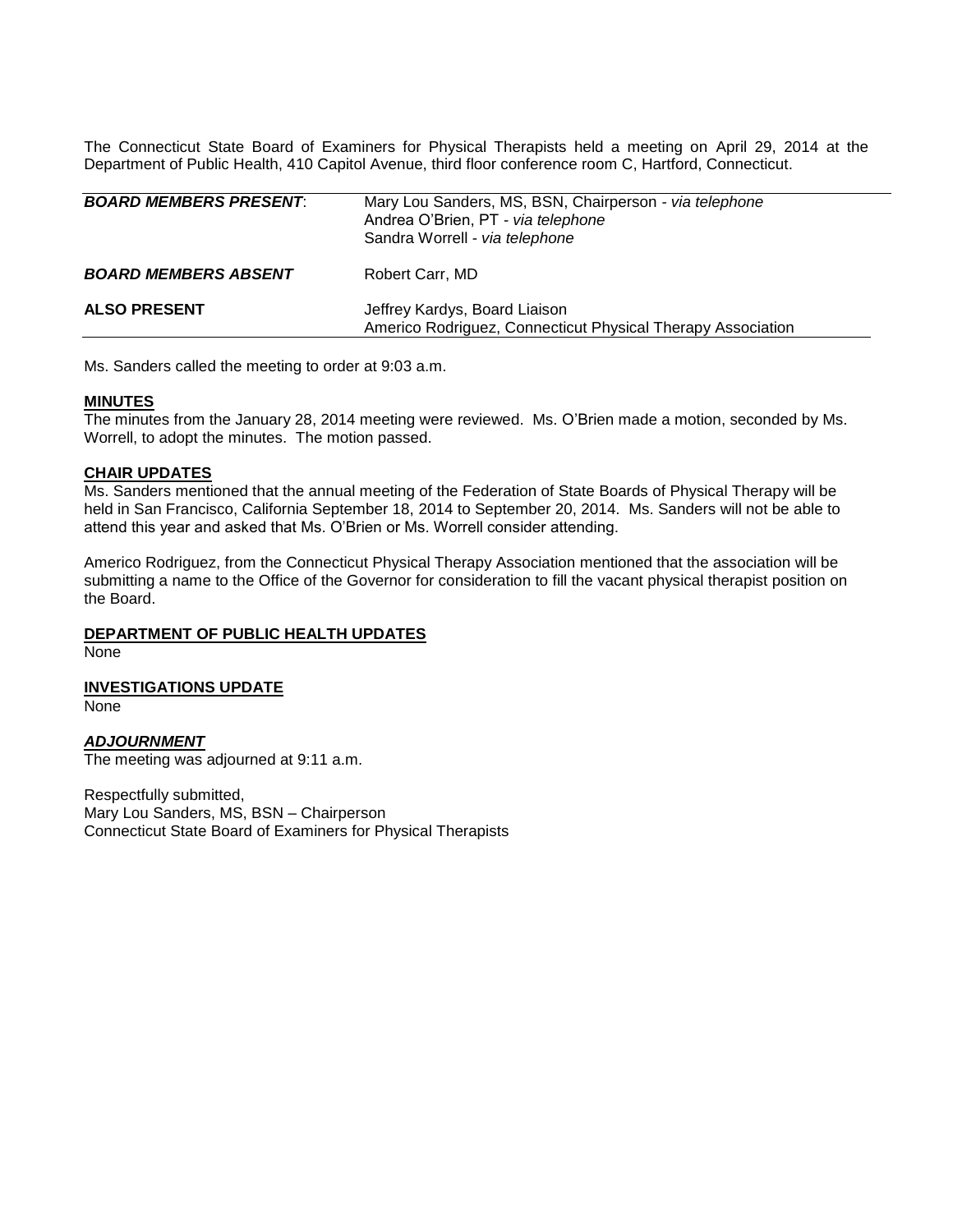The Connecticut State Board of Examiners for Physical Therapists held a meeting on April 29, 2014 at the Department of Public Health, 410 Capitol Avenue, third floor conference room C, Hartford, Connecticut.

| <b>BOARD MEMBERS PRESENT:</b> | Mary Lou Sanders, MS, BSN, Chairperson - via telephone<br>Andrea O'Brien, PT - via telephone<br>Sandra Worrell - via telephone |
|-------------------------------|--------------------------------------------------------------------------------------------------------------------------------|
| <b>BOARD MEMBERS ABSENT</b>   | Robert Carr, MD                                                                                                                |
| <b>ALSO PRESENT</b>           | Jeffrey Kardys, Board Liaison<br>Americo Rodriguez, Connecticut Physical Therapy Association                                   |

Ms. Sanders called the meeting to order at 9:03 a.m.

#### **MINUTES**

The minutes from the January 28, 2014 meeting were reviewed. Ms. O'Brien made a motion, seconded by Ms. Worrell, to adopt the minutes. The motion passed.

#### **CHAIR UPDATES**

Ms. Sanders mentioned that the annual meeting of the Federation of State Boards of Physical Therapy will be held in San Francisco, California September 18, 2014 to September 20, 2014. Ms. Sanders will not be able to attend this year and asked that Ms. O'Brien or Ms. Worrell consider attending.

Americo Rodriguez, from the Connecticut Physical Therapy Association mentioned that the association will be submitting a name to the Office of the Governor for consideration to fill the vacant physical therapist position on the Board.

#### **DEPARTMENT OF PUBLIC HEALTH UPDATES**

None

**INVESTIGATIONS UPDATE** None

#### *ADJOURNMENT*

The meeting was adjourned at 9:11 a.m.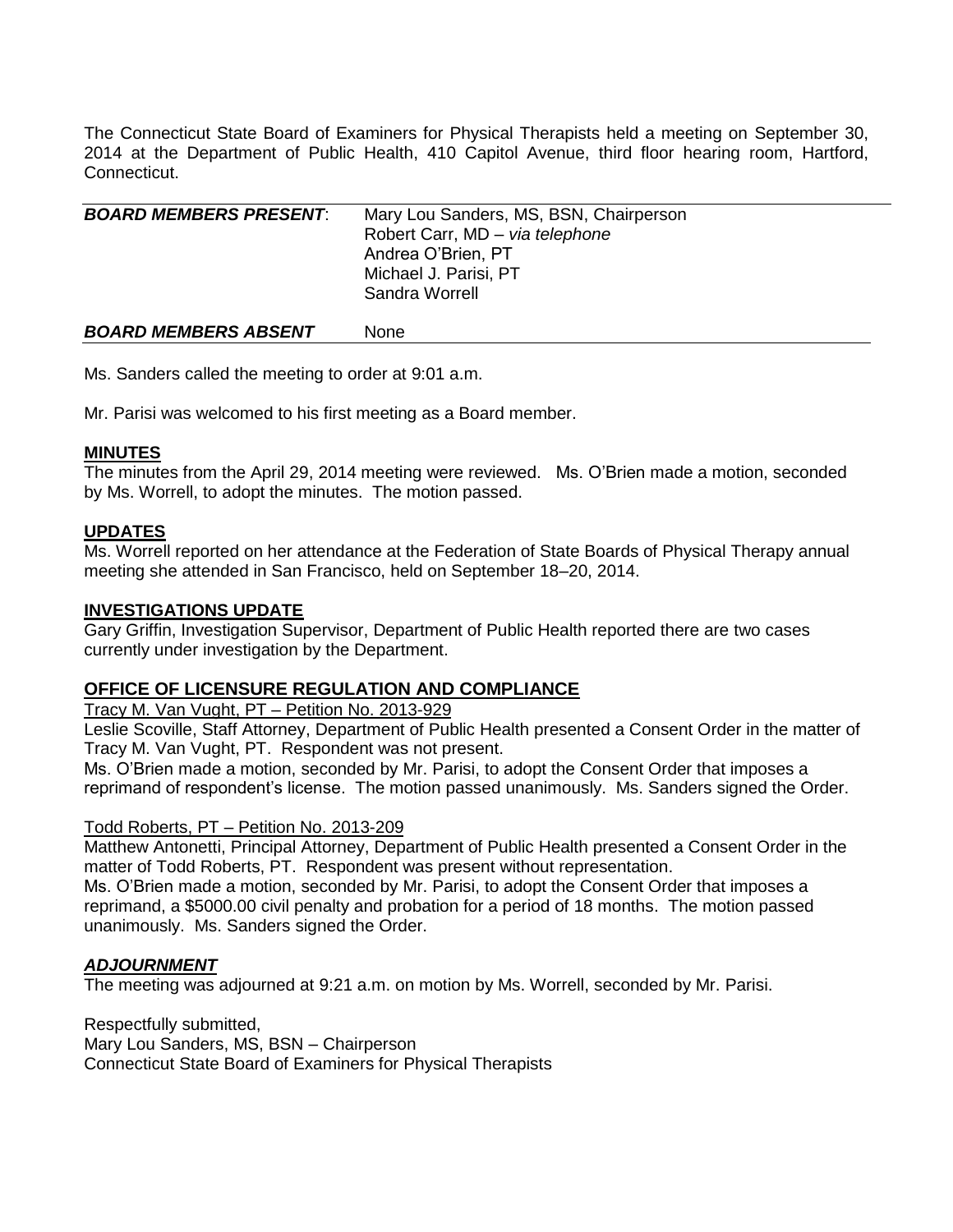The Connecticut State Board of Examiners for Physical Therapists held a meeting on September 30, 2014 at the Department of Public Health, 410 Capitol Avenue, third floor hearing room, Hartford, Connecticut.

| <b>BOARD MEMBERS PRESENT:</b> | Mary Lou Sanders, MS, BSN, Chairperson |
|-------------------------------|----------------------------------------|
|                               | Robert Carr, MD - via telephone        |
|                               | Andrea O'Brien, PT                     |
|                               | Michael J. Parisi, PT                  |
|                               | Sandra Worrell                         |
|                               |                                        |
| <b>BOARD MEMBERS ABSENT</b>   | <b>None</b>                            |

Ms. Sanders called the meeting to order at 9:01 a.m.

Mr. Parisi was welcomed to his first meeting as a Board member.

# **MINUTES**

The minutes from the April 29, 2014 meeting were reviewed. Ms. O'Brien made a motion, seconded by Ms. Worrell, to adopt the minutes. The motion passed.

## **UPDATES**

Ms. Worrell reported on her attendance at the Federation of State Boards of Physical Therapy annual meeting she attended in San Francisco, held on September 18–20, 2014.

# **INVESTIGATIONS UPDATE**

Gary Griffin, Investigation Supervisor, Department of Public Health reported there are two cases currently under investigation by the Department.

# **OFFICE OF LICENSURE REGULATION AND COMPLIANCE**

Tracy M. Van Vught, PT – Petition No. 2013-929

Leslie Scoville, Staff Attorney, Department of Public Health presented a Consent Order in the matter of Tracy M. Van Vught, PT. Respondent was not present.

Ms. O'Brien made a motion, seconded by Mr. Parisi, to adopt the Consent Order that imposes a reprimand of respondent's license. The motion passed unanimously. Ms. Sanders signed the Order.

#### Todd Roberts, PT – Petition No. 2013-209

Matthew Antonetti, Principal Attorney, Department of Public Health presented a Consent Order in the matter of Todd Roberts, PT. Respondent was present without representation. Ms. O'Brien made a motion, seconded by Mr. Parisi, to adopt the Consent Order that imposes a reprimand, a \$5000.00 civil penalty and probation for a period of 18 months. The motion passed unanimously. Ms. Sanders signed the Order.

# *ADJOURNMENT*

The meeting was adjourned at 9:21 a.m. on motion by Ms. Worrell, seconded by Mr. Parisi.